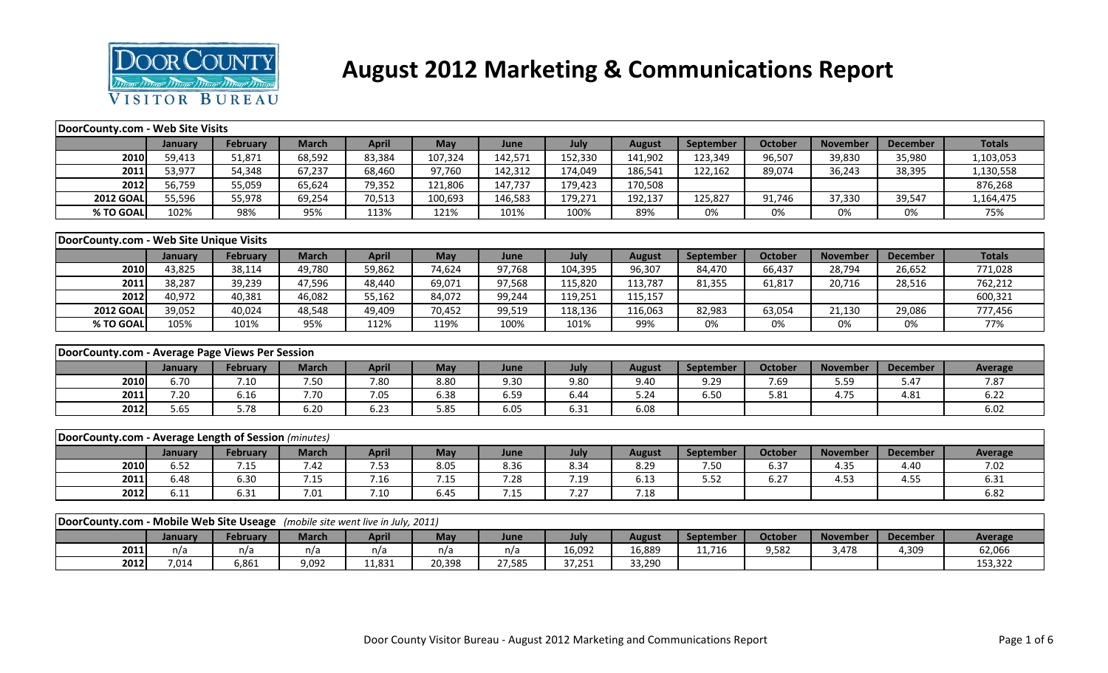

## **August 2012 Marketing & Communications Report**

| DoorCounty.com - Web Site Visits                                              |         |                 |              |              |            |         |         |               |                  |                |                 |                 |                |
|-------------------------------------------------------------------------------|---------|-----------------|--------------|--------------|------------|---------|---------|---------------|------------------|----------------|-----------------|-----------------|----------------|
|                                                                               | January | <b>February</b> | <b>March</b> | <b>April</b> | <b>May</b> | June    | July    | <b>August</b> | <b>September</b> | <b>October</b> | <b>November</b> | <b>December</b> | <b>Totals</b>  |
| 2010                                                                          | 59,413  | 51,871          | 68,592       | 83,384       | 107,324    | 142,571 | 152,330 | 141,902       | 123,349          | 96,507         | 39,830          | 35,980          | 1,103,053      |
| 2011                                                                          | 53,977  | 54,348          | 67,237       | 68,460       | 97,760     | 142,312 | 174,049 | 186,541       | 122,162          | 89,074         | 36,243          | 38,395          | 1,130,558      |
| 2012                                                                          | 56,759  | 55,059          | 65,624       | 79,352       | 121,806    | 147,737 | 179,423 | 170,508       |                  |                |                 |                 | 876,268        |
| <b>2012 GOAL</b>                                                              | 55,596  | 55,978          | 69,254       | 70,513       | 100,693    | 146,583 | 179,271 | 192,137       | 125,827          | 91,746         | 37,330          | 39,547          | 1,164,475      |
| % TO GOAL                                                                     | 102%    | 98%             | 95%          | 113%         | 121%       | 101%    | 100%    | 89%           | 0%               | 0%             | 0%              | 0%              | 75%            |
|                                                                               |         |                 |              |              |            |         |         |               |                  |                |                 |                 |                |
| DoorCounty.com - Web Site Unique Visits                                       |         |                 |              |              |            |         |         |               |                  |                |                 |                 |                |
|                                                                               | January | <b>February</b> | <b>March</b> | <b>April</b> | May        | June    | July    | <b>August</b> | September        | <b>October</b> | <b>November</b> | <b>December</b> | <b>Totals</b>  |
| 2010                                                                          | 43,825  | 38,114          | 49,780       | 59,862       | 74,624     | 97,768  | 104,395 | 96,307        | 84,470           | 66,437         | 28,794          | 26,652          | 771,028        |
| 2011                                                                          | 38,287  | 39,239          | 47,596       | 48,440       | 69,071     | 97,568  | 115,820 | 113,787       | 81,355           | 61,817         | 20,716          | 28,516          | 762,212        |
| 2012                                                                          | 40,972  | 40,381          | 46,082       | 55,162       | 84,072     | 99,244  | 119,251 | 115,157       |                  |                |                 |                 | 600,321        |
| <b>2012 GOAL</b>                                                              | 39,052  | 40,024          | 48,548       | 49,409       | 70,452     | 99,519  | 118,136 | 116,063       | 82,983           | 63,054         | 21,130          | 29,086          | 777,456        |
| % TO GOAL                                                                     | 105%    | 101%            | 95%          | 112%         | 119%       | 100%    | 101%    | 99%           | 0%               | 0%             | 0%              | 0%              | 77%            |
|                                                                               |         |                 |              |              |            |         |         |               |                  |                |                 |                 |                |
| DoorCounty.com - Average Page Views Per Session                               |         |                 |              |              |            |         |         |               |                  |                |                 |                 |                |
|                                                                               | January | February        | <b>March</b> | <b>April</b> | May        | June    | July    | <b>August</b> | September        | <b>October</b> | <b>November</b> | <b>December</b> | <b>Average</b> |
| 2010                                                                          | 6.70    | 7.10            | 7.50         | 7.80         | 8.80       | 9.30    | 9.80    | 9.40          | 9.29             | 7.69           | 5.59            | 5.47            | 7.87           |
| 2011                                                                          | 7.20    | 6.16            | 7.70         | 7.05         | 6.38       | 6.59    | 6.44    | 5.24          | 6.50             | 5.81           | 4.75            | 4.81            | 6.22           |
| 2012                                                                          | 5.65    | 5.78            | 6.20         | 6.23         | 5.85       | 6.05    | 6.31    | 6.08          |                  |                |                 |                 | 6.02           |
|                                                                               |         |                 |              |              |            |         |         |               |                  |                |                 |                 |                |
| DoorCounty.com - Average Length of Session (minutes)                          |         |                 |              |              |            |         |         |               |                  |                |                 |                 |                |
|                                                                               | January | <b>February</b> | <b>March</b> | <b>April</b> | May        | June    | July    | <b>August</b> | September        | <b>October</b> | <b>November</b> | <b>December</b> | <b>Average</b> |
| 2010                                                                          | 6.52    | 7.15            | 7.42         | 7.53         | 8.05       | 8.36    | 8.34    | 8.29          | 7.50             | 6.37           | 4.35            | 4.40            | 7.02           |
| 2011                                                                          | 6.48    | 6.30            | 7.15         | 7.16         | 7.15       | 7.28    | 7.19    | 6.13          | 5.52             | 6.27           | 4.53            | 4.55            | 6.31           |
| 2012                                                                          | 6.11    | 6.31            | 7.01         | 7.10         | 6.45       | 7.15    | 7.27    | 7.18          |                  |                |                 |                 | 6.82           |
|                                                                               |         |                 |              |              |            |         |         |               |                  |                |                 |                 |                |
| DoorCounty.com - Mobile Web Site Useage (mobile site went live in July, 2011) |         |                 |              |              |            |         |         |               |                  |                |                 |                 |                |
|                                                                               | January | <b>February</b> | <b>March</b> | <b>April</b> | <b>May</b> | June    | July    | <b>August</b> | September        | <b>October</b> | <b>November</b> | <b>December</b> | <b>Average</b> |
|                                                                               |         |                 |              |              |            |         |         |               |                  |                |                 |                 |                |
| 2011                                                                          | n/a     | n/a             | n/a          | n/a          | n/a        | n/a     | 16,092  | 16,889        | 11,716           | 9,582          | 3,478           | 4,309           | 62,066         |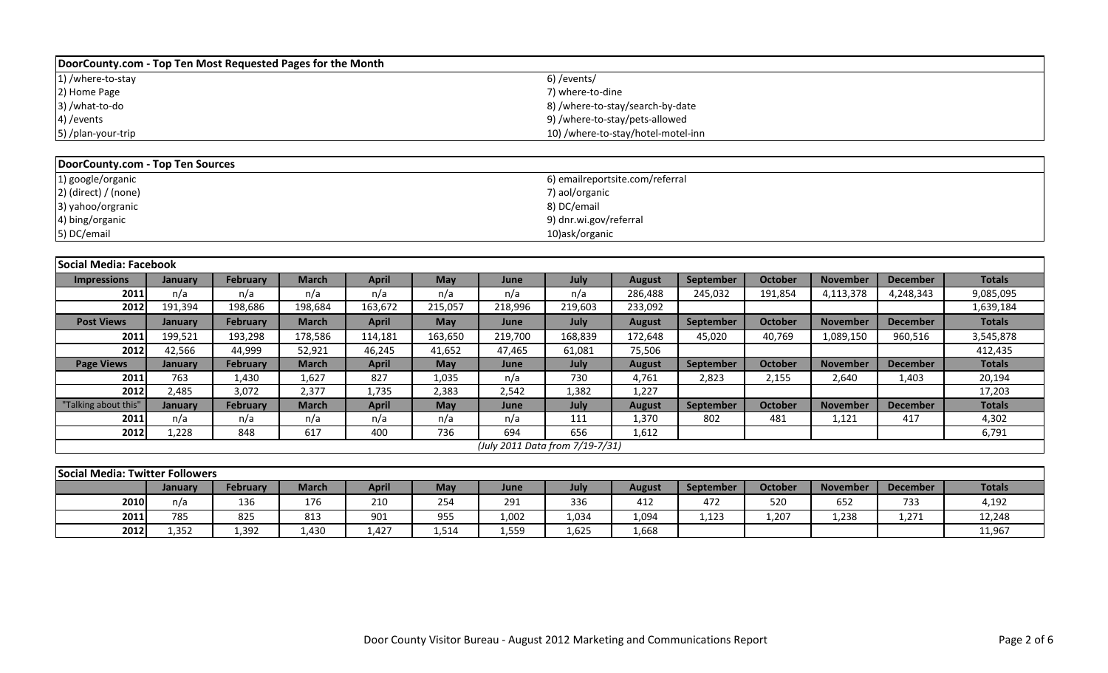| DoorCounty.com - Top Ten Most Requested Pages for the Month |                                    |
|-------------------------------------------------------------|------------------------------------|
| 1) /where-to-stay                                           | 6)/events/                         |
| 2) Home Page                                                | 7) where-to-dine                   |
| 3) /what-to-do                                              | 8) /where-to-stay/search-by-date   |
| 4) / events                                                 | 9) /where-to-stay/pets-allowed     |
| 5) /plan-your-trip                                          | 10) /where-to-stay/hotel-motel-inn |

| DoorCounty.com - Top Ten Sources |                                 |
|----------------------------------|---------------------------------|
| 1) google/organic                | 6) emailreportsite.com/referral |
| $2)$ (direct) / (none)           | 7) aol/organic                  |
| 3) yahoo/orgranic                | 8) DC/email                     |
| 4) bing/organic                  | 9) dnr.wi.gov/referral          |
| 5) DC/email                      | 10)ask/organic                  |

| <b>Social Media: Facebook</b> |         |                 |              |              |            |         |                                 |               |           |                |                 |                 |               |
|-------------------------------|---------|-----------------|--------------|--------------|------------|---------|---------------------------------|---------------|-----------|----------------|-----------------|-----------------|---------------|
| <b>Impressions</b>            | January | <b>February</b> | <b>March</b> | <b>April</b> | May        | June    | July                            | <b>August</b> | September | <b>October</b> | <b>November</b> | <b>December</b> | <b>Totals</b> |
| 2011                          | n/a     | n/a             | n/a          | n/a          | n/a        | n/a     | n/a                             | 286,488       | 245,032   | 191,854        | 4,113,378       | 4,248,343       | 9,085,095     |
| 2012                          | 191,394 | 198,686         | 198,684      | 163,672      | 215,057    | 218,996 | 219,603                         | 233,092       |           |                |                 |                 | 1,639,184     |
| <b>Post Views</b>             | January | <b>February</b> | <b>March</b> | <b>April</b> | <b>May</b> | June    | July                            | <b>August</b> | September | October        | <b>November</b> | <b>December</b> | <b>Totals</b> |
| 2011                          | 199,521 | 193,298         | 178,586      | 114,181      | 163,650    | 219,700 | 168,839                         | 172,648       | 45,020    | 40,769         | 1,089,150       | 960,516         | 3,545,878     |
| 2012                          | 42,566  | 44,999          | 52,921       | 46,245       | 41,652     | 47,465  | 61,081                          | 75,506        |           |                |                 |                 | 412,435       |
| <b>Page Views</b>             | January | <b>February</b> | March        | <b>April</b> | <b>May</b> | June    | July                            | <b>August</b> | September | <b>October</b> | <b>November</b> | <b>December</b> | <b>Totals</b> |
| 2011                          | 763     | 1,430           | 1,627        | 827          | 1,035      | n/a     | 730                             | 4,761         | 2,823     | 2,155          | 2,640           | 1,403           | 20,194        |
| 2012                          | 2,485   | 3,072           | 2,377        | 1,735        | 2,383      | 2,542   | 1,382                           | 1,227         |           |                |                 |                 | 17,203        |
| "Talking about this"          | January | <b>February</b> | <b>March</b> | <b>April</b> | May        | June    | July                            | <b>August</b> | September | <b>October</b> | <b>November</b> | <b>December</b> | <b>Totals</b> |
| 2011                          | n/a     | n/a             | n/a          | n/a          | n/a        | n/a     | 111                             | 1,370         | 802       | 481            | 1,121           | 417             | 4,302         |
| 2012                          | 1,228   | 848             | 617          | 400          | 736        | 694     | 656                             | 1,612         |           |                |                 |                 | 6,791         |
|                               |         |                 |              |              |            |         | (July 2011 Data from 7/19-7/31) |               |           |                |                 |                 |               |

| Social Media: Twitter Followers |                                                                                                                                                                    |       |       |     |       |       |       |       |       |       |       |       |        |  |  |
|---------------------------------|--------------------------------------------------------------------------------------------------------------------------------------------------------------------|-------|-------|-----|-------|-------|-------|-------|-------|-------|-------|-------|--------|--|--|
|                                 | <b>Totals</b><br><b>April</b><br>Octobe<br>February<br>March<br><b>November</b><br>May<br>July<br><b>December</b><br><b>August</b><br>September<br>June<br>January |       |       |     |       |       |       |       |       |       |       |       |        |  |  |
| 2010                            | n/a                                                                                                                                                                | 136   | 176   | 210 | 254   | 291   | 336   | 412   | 472   | 520   | 652   | 733   | 4,192  |  |  |
| 2011                            | 785                                                                                                                                                                | 825   | 813   | 901 | 955   | 1,002 | 1,034 | 1,094 | 1,123 | 1,207 | 1,238 | 1,271 | 12,248 |  |  |
| 2012                            | 1.352                                                                                                                                                              | 1,392 | 1.430 | 427 | 1,514 | 1,559 | 1,625 | 1,668 |       |       |       |       | 11,967 |  |  |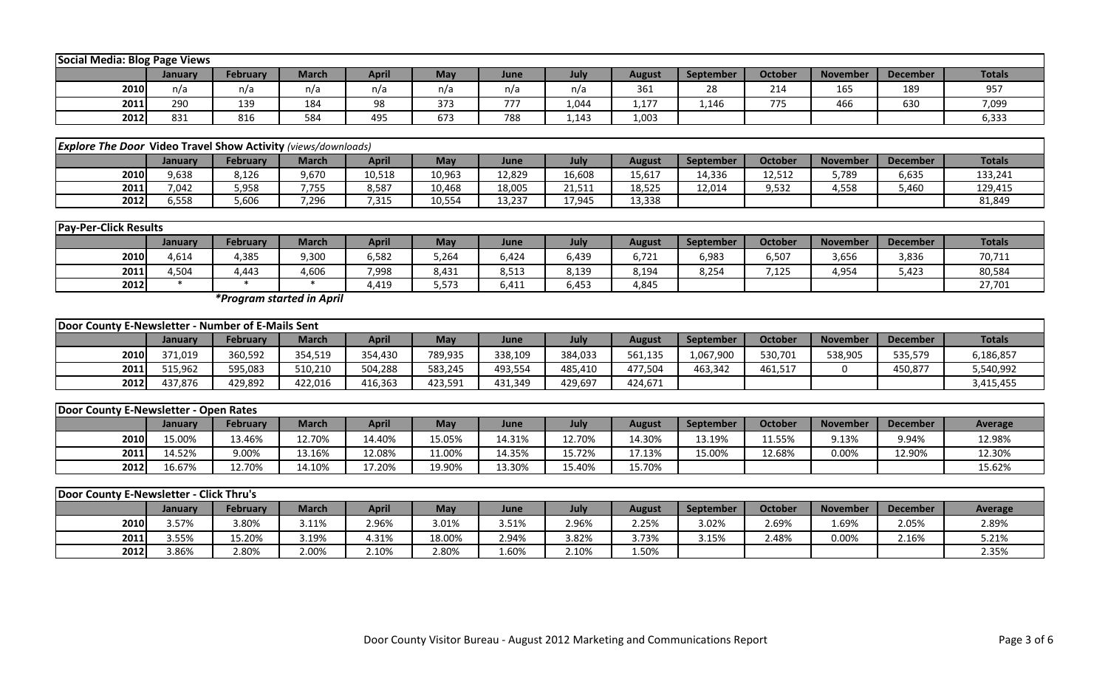|      | Social Media: Blog Page Views                                                                                                                               |     |     |     |     |     |       |       |       |     |     |     |       |  |  |
|------|-------------------------------------------------------------------------------------------------------------------------------------------------------------|-----|-----|-----|-----|-----|-------|-------|-------|-----|-----|-----|-------|--|--|
|      | <b>Totals</b><br>April<br>Octobe<br>February<br>July<br>March<br>May<br><b>November</b><br><b>December</b><br>August<br>September<br>June<br><b>January</b> |     |     |     |     |     |       |       |       |     |     |     |       |  |  |
| 2010 | n/a                                                                                                                                                         | n/a | n/a | n/a | n/a | n/a | n/a   | 361   | 28    | 214 | 165 | 189 | 957   |  |  |
| 2011 | 290                                                                                                                                                         | 139 | 184 | 98  | 373 | 777 | 1,044 | 1,177 | 1,146 | 775 | 466 | 630 | 7,099 |  |  |
| 2012 | 831                                                                                                                                                         | 816 | 584 | 495 | 673 | 788 | 1,143 | 1,003 |       |     |     |     | 6,333 |  |  |

|      | <b>Explore The Door Video Travel Show Activity (views/downloads)</b>                                                                                         |       |       |        |        |        |        |        |        |        |       |       |         |  |  |
|------|--------------------------------------------------------------------------------------------------------------------------------------------------------------|-------|-------|--------|--------|--------|--------|--------|--------|--------|-------|-------|---------|--|--|
|      | <b>Totals</b><br><b>October</b><br>April<br>May<br>February<br>March<br><b>November</b><br>July<br><b>December</b><br>August<br>September<br>June<br>Januarv |       |       |        |        |        |        |        |        |        |       |       |         |  |  |
| 2010 | 9,638                                                                                                                                                        | 8,126 | 9,670 | 10,518 | 10,963 | 12,829 | 16,608 | 15,617 | 14,336 | 12,512 | 5,789 | 6,635 | 133,241 |  |  |
| 2011 | 7,042                                                                                                                                                        | 5,958 | 7,755 | 8,587  | 10,468 | 18,005 | 21,511 | 18,525 | 12,014 | 9,532  | 4,558 | 5,460 | 129,415 |  |  |
| 2012 | 5.558                                                                                                                                                        | 5,606 | 7,296 | 1,315  | 10,554 | 13,237 | 17.945 | 13,338 |        |        |       |       | 81,849  |  |  |

|      | <b>Pay-Per-Click Results</b> |          |       |       |       |       |       |               |                  |         |                 |                 |               |
|------|------------------------------|----------|-------|-------|-------|-------|-------|---------------|------------------|---------|-----------------|-----------------|---------------|
|      | Januarv                      | February | March | April | May   | June  | July  | <b>August</b> | <b>September</b> | October | <b>November</b> | <b>December</b> | <b>Totals</b> |
| 2010 | 4,614                        | 4,385    | 9,300 | 6,582 | 5,264 | 6,424 | 6,439 | 6,721         | 6,983            | 6,507   | 3,656           | 3,836           | 70,711        |
| 2011 | 4,504                        | 1,443    | 4,606 | 7,998 | 8,431 | 8,513 | 8,139 | 8,194         | 8,254            | 7,125   | 4,954           | 5,423           | 80,584        |
| 2012 |                              |          |       | .419  | 5.573 | 6,411 | 6,453 | 4,845         |                  |         |                 |                 | 27,701        |

*\*Program started in April*

|      | Door County E-Newsletter -<br>- Number of E-Mails Sent                                                                                               |         |         |         |         |         |         |         |           |         |         |         |           |  |
|------|------------------------------------------------------------------------------------------------------------------------------------------------------|---------|---------|---------|---------|---------|---------|---------|-----------|---------|---------|---------|-----------|--|
|      | Totals<br>April<br>July<br>May<br><b>Octobe</b><br>March<br>February<br>December<br><b>August</b><br>September<br><b>November</b><br>June<br>January |         |         |         |         |         |         |         |           |         |         |         |           |  |
| 2010 | 371,019                                                                                                                                              | 360,592 | 354,519 | 354,430 | 789,935 | 338,109 | 384,033 | 561,135 | 1,067,900 | 530,701 | 538,905 | 535,579 | 6,186,857 |  |
| 2011 | 515.962                                                                                                                                              | 595,083 | 510,210 | 504,288 | 583,245 | 493,554 | 485,410 | 477,504 | 463,342   | 461,517 |         | 450,877 | 5,540,992 |  |
| 2012 | 437,876                                                                                                                                              | 429,892 | 422,016 | 416,363 | 423,591 | 431,349 | 429,697 | 424,671 |           |         |         |         | 3,415,455 |  |

|             | Door County E-Newsletter - Open Rates |                 |        |        |        |        |        |        |           |         |                 |                 |                |  |
|-------------|---------------------------------------|-----------------|--------|--------|--------|--------|--------|--------|-----------|---------|-----------------|-----------------|----------------|--|
|             | Januarv                               | <b>February</b> | March  | April  | May    | June   | July   | August | September | October | <b>November</b> | <b>December</b> | <b>Average</b> |  |
| <b>2010</b> | 5.00%                                 | 13.46%          | 12.70% | 14.40% | 15.05% | 14.31% | 12.70% | 14.30% | 13.19%    | 11.55%  | 9.13%           | 9.94%           | 12.98%         |  |
| 2011        | 4.52%                                 | 9.00%           | 13.16% | L2.08% | 1.00%  | 14.35% | 15.72% | 17.13% | 15.00%    | 12.68%  | 0.00%           | 12.90%          | 12.30%         |  |
| 2012        | 6.67%                                 | 12.70%          | 14.10% | 17.20% | 19.90% | 13.30% | 15.40% | 15.70% |           |         |                 |                 | 15.62%         |  |

|      | <b>Door County E-Newsletter - Click Thru's</b> |                 |       |       |        |       |       |        |           |                |                 |                 |         |  |
|------|------------------------------------------------|-----------------|-------|-------|--------|-------|-------|--------|-----------|----------------|-----------------|-----------------|---------|--|
|      | Januarv                                        | <b>February</b> | March | April | May    | June  | July  | August | September | <b>October</b> | <b>November</b> | <b>December</b> | Average |  |
| 2010 | 3.57%                                          | 3.80%           | 3.11% | 2.96% | 3.01%  | 3.51% | 2.96% | 2.25%  | 3.02%     | 2.69%          | 1.69%           | 2.05%           | 2.89%   |  |
| 2011 | 3.55%                                          | 5.20%           | 3.19% | 1.31% | 18.00% | 2.94% | 3.82% | 3.73%  | 3.15%     | 2.48%          | $0.00\%$        | 2.16%           | 5.21%   |  |
| 2012 | 3.86%                                          | 2.80%           | 2.00% | 2.10% | 2.80%  | 1.60% | 2.10% | 1.50%  |           |                |                 |                 | 2.35%   |  |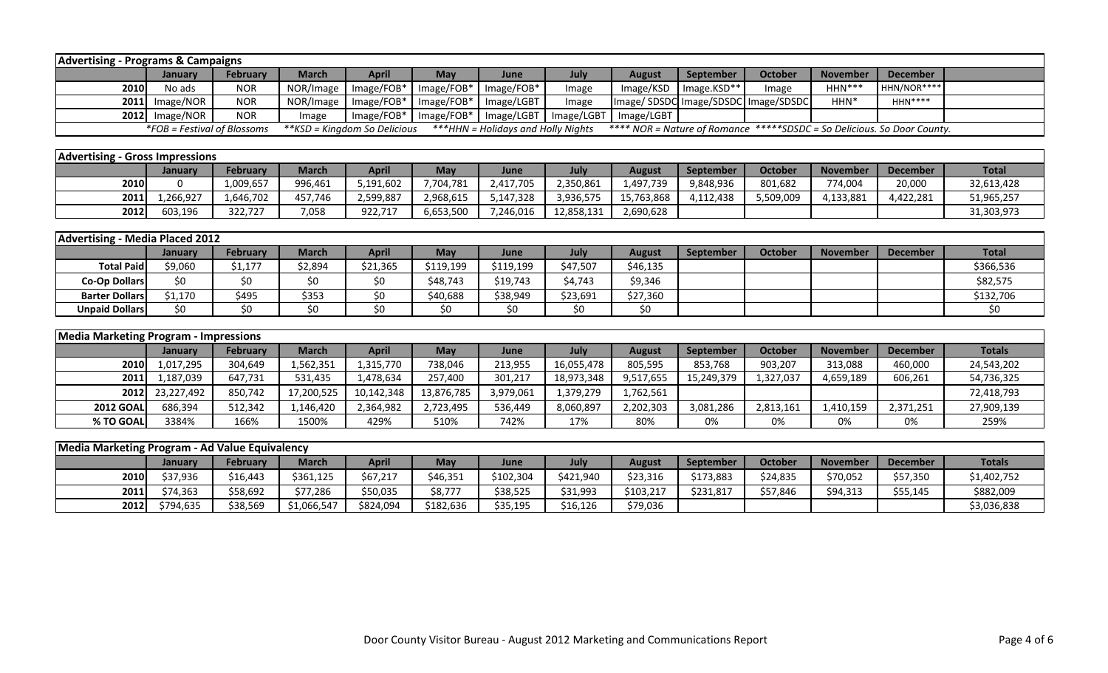|             | <b>Advertising - Programs &amp; Campaigns</b>                                                                                                                                |                 |           |              |                           |            |            |               |                                     |                |                 |             |  |  |
|-------------|------------------------------------------------------------------------------------------------------------------------------------------------------------------------------|-----------------|-----------|--------------|---------------------------|------------|------------|---------------|-------------------------------------|----------------|-----------------|-------------|--|--|
|             | January                                                                                                                                                                      | <b>February</b> | March l   | <b>April</b> | May                       | June       | July       | <b>August</b> | September                           | <b>October</b> | <b>November</b> | December    |  |  |
| <b>2010</b> | No ads                                                                                                                                                                       | <b>NOR</b>      | NOR/Image |              | Image/FOB*   Image/FOB*   | Image/FOB* | mage       | $Image/KSD$   | Image.KSD**                         | Image          | $HHN***$        | HHN/NOR**** |  |  |
|             | 2011 Image/NOR                                                                                                                                                               | <b>NOR</b>      | NOR/Image |              | Image/FOB*   Image/FOB*   | Image/LGBT | Image      |               | Image/SDSDC Image/SDSDC Image/SDSDC |                | HHN*            | $HHN***$    |  |  |
|             | 2012 Image/NOR                                                                                                                                                               | <b>NOR</b>      | Image     |              | $Image/FOB*$   Image/FOB* | Image/LGBT | Image/LGBT | Image/LGBT    |                                     |                |                 |             |  |  |
|             | *FOB = Festival of Blossoms<br>***HHN = Holidays and Holly Nights<br>**** NOR = Nature of Romance *****SDSDC = So Delicious. So Door County.<br>**KSD = Kingdom So Delicious |                 |           |              |                           |            |            |               |                                     |                |                 |             |  |  |

| <b>Advertising - Gross Impressions</b> |         |                 |         |             |                       |           |            |            |                  |                |                 |                 |              |
|----------------------------------------|---------|-----------------|---------|-------------|-----------------------|-----------|------------|------------|------------------|----------------|-----------------|-----------------|--------------|
|                                        | Januarv | <b>February</b> | March   | <b>Apri</b> | May                   | June      | July       | August     | <b>September</b> | <b>October</b> | <b>November</b> | <b>December</b> | <b>Total</b> |
| 2010                                   |         | 1,009,657       | 996,461 | 5,191,602   | 7,704,781             | 2,417,705 | ',350,861  | 1,497,739  | 9,848,936        | 801,682        | 774,004         | 20,000          | 32,613,428   |
| 2011                                   | 266.927 | 1,646,702       | 457.746 | 1,599,887   | <sup>2</sup> ,968,615 | 5,147,328 | 3,936,575  | 15,763,868 | 4,112,438        | 5,509,009      | 4,133,881       | 4,422,281       | 51,965,257   |
| 2012                                   | 603,196 | 322,727         | 7,058   | 922,717     | 6,653,500             | ,246,016  | 12,858,131 | 2,690,628  |                  |                |                 |                 | 31,303,973   |

| Advertising - Media Placed 2012 |         |                 |              |              |           |           |          |          |                  |                |                 |                 |              |
|---------------------------------|---------|-----------------|--------------|--------------|-----------|-----------|----------|----------|------------------|----------------|-----------------|-----------------|--------------|
|                                 | Januarv | <b>February</b> | <b>March</b> | <b>April</b> | May       | June      | July     | August   | <b>September</b> | <b>October</b> | <b>November</b> | <b>December</b> | <b>Total</b> |
| <b>Total Paid</b>               | \$9,060 | \$1,177         | \$2,894      | \$21,365     | \$119,199 | \$119,199 | \$47,507 | \$46,135 |                  |                |                 |                 | \$366,536    |
| Co-Op Dollars                   | \$0     | \$0             | S0           | \$0          | \$48,743  | \$19,743  | \$4,743  | \$9,346  |                  |                |                 |                 | \$82,575     |
| <b>Barter Dollars</b>           | \$1,170 | \$495           | \$353        | ΨU           | \$40,688  | \$38,949  | \$23,691 | \$27,360 |                  |                |                 |                 | \$132,706    |
| <b>Unpaid Dollars</b>           | ¢٨      |                 |              | ۹C           | ¢∩        | S0        | S0       | S0       |                  |                |                 |                 |              |

|                  | <b>Media Marketing Program - Impressions</b> |                 |            |            |            |           |            |               |                  |                |                 |                 |               |
|------------------|----------------------------------------------|-----------------|------------|------------|------------|-----------|------------|---------------|------------------|----------------|-----------------|-----------------|---------------|
|                  | <b>January</b>                               | <b>February</b> | March      | April      | Mav        | June      | July       | <b>August</b> | <b>September</b> | <b>October</b> | <b>November</b> | <b>December</b> | <b>Totals</b> |
| 2010             | 1,017,295                                    | 304,649         | .,562,351  | 1,315,770  | 738,046    | 213,955   | 16,055,478 | 805,595       | 853,768          | 903,207        | 313,088         | 460,000         | 24,543,202    |
| 2011             | 1,187,039                                    | 647,731         | 531,435    | 1,478,634  | 257,400    | 301,217   | 18,973,348 | 9,517,655     | 15,249,379       | 1,327,037      | 4,659,189       | 606,261         | 54,736,325    |
| 2012             | 23,227,492                                   | 850,742         | 17,200,525 | 10,142,348 | 13,876,785 | 3,979,061 | 1,379,279  | 1,762,561     |                  |                |                 |                 | 72,418,793    |
| <b>2012 GOAL</b> | 686.394                                      | 512,342         | 1,146,420  | 2,364,982  | 2,723,495  | 536,449   | 8,060,897  | 2,202,303     | 3,081,286        | 2,813,161      | 1,410,159       | 2,371,251       | 27,909,139    |
| % TO GOAL        | 3384%                                        | 166%            | 1500%      | 429%       | 510%       | 742%      | 17%        | 80%           | 0%               | 0%             | 0%              | 0%              | 259%          |

| Media Marketing Program - Ad Value Equivalency |                |                 |              |           |           |           |           |           |           |          |                 |          |               |
|------------------------------------------------|----------------|-----------------|--------------|-----------|-----------|-----------|-----------|-----------|-----------|----------|-----------------|----------|---------------|
|                                                | <b>January</b> | <b>February</b> | <b>March</b> | April     | May       | June      | July      | August    | September | October  | <b>November</b> | December | <b>Totals</b> |
| 2010                                           | \$37,936       | \$16,443        | \$361,125    | \$67,217  | \$46,351  | \$102,304 | \$421,940 | \$23,316  | \$173,883 | \$24,835 | \$70,052        | \$57,350 | \$1,402,752   |
| 2011                                           | \$74,363       | \$58,692        | \$77,286     | \$50,035  | \$8,777   | \$38,525  | \$31,993  | \$103,217 | \$231,817 | \$57,846 | \$94,313        | \$55,145 | \$882,009     |
| 2012                                           | \$794.635      | \$38,569        | \$1,066,547  | \$824,094 | \$182,636 | \$35,195  | \$16,126  | \$79,036  |           |          |                 |          | \$3,036,838   |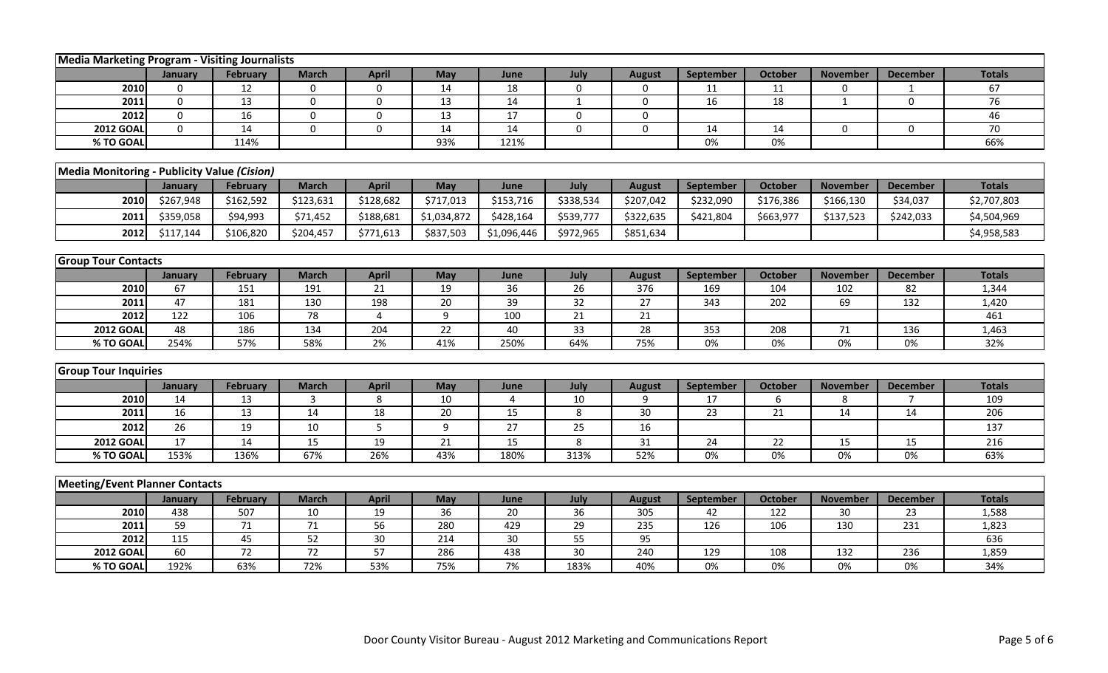|                                             | Media Marketing Program - Visiting Journalists |                 |                 |              |             |                 |                 |               |                  |                 |                 |                  |               |
|---------------------------------------------|------------------------------------------------|-----------------|-----------------|--------------|-------------|-----------------|-----------------|---------------|------------------|-----------------|-----------------|------------------|---------------|
|                                             | January                                        | <b>February</b> | <b>March</b>    | <b>April</b> | May         | June            | July            | <b>August</b> | <b>September</b> | <b>October</b>  | <b>November</b> | <b>December</b>  | <b>Totals</b> |
| 2010                                        | $\Omega$                                       | 12              | $\mathbf 0$     | 0            | 14          | 18              | $\mathbf 0$     | $\mathbf 0$   | 11               | 11              | 0               | $\mathbf{1}$     | 67            |
| 2011                                        | 0                                              | 13              | 0               | 0            | 13          | 14              | $\mathbf{1}$    | $\mathbf 0$   | 16               | 18              | $\mathbf{1}$    | $\boldsymbol{0}$ | 76            |
| 2012                                        | $\Omega$                                       | 16              | $\Omega$        | 0            | 13          | 17              | $\mathbf 0$     | 0             |                  |                 |                 |                  | 46            |
| <b>2012 GOAL</b>                            | $\mathbf{0}$                                   | 14              | $\Omega$        | $\Omega$     | 14          | 14              | $\mathbf{0}$    | $\mathbf 0$   | 14               | 14              | $\Omega$        | $\mathbf 0$      | 70            |
| % TO GOAI                                   |                                                | 114%            |                 |              | 93%         | 121%            |                 |               | 0%               | 0%              |                 |                  | 66%           |
|                                             |                                                |                 |                 |              |             |                 |                 |               |                  |                 |                 |                  |               |
| Media Monitoring - Publicity Value (Cision) |                                                |                 |                 |              |             |                 |                 |               |                  |                 |                 |                  |               |
|                                             | January                                        | February        | <b>March</b>    | <b>April</b> | May         | June            | July            | <b>August</b> | September        | <b>October</b>  | <b>November</b> | <b>December</b>  | <b>Totals</b> |
| 2010                                        | \$267,948                                      | \$162,592       | \$123,631       | \$128,682    | \$717,013   | \$153,716       | \$338,534       | \$207,042     | \$232,090        | \$176,386       | \$166,130       | \$34,037         | \$2,707,803   |
| 2011                                        | \$359,058                                      | \$94,993        | \$71,452        | \$188,681    | \$1,034,872 | \$428,164       | \$539,777       | \$322,635     | \$421,804        | \$663,977       | \$137,523       | \$242,033        | \$4,504,969   |
| 2012                                        | \$117,144                                      | \$106,820       | \$204,457       | \$771,613    | \$837,503   | \$1,096,446     | \$972,965       | \$851,634     |                  |                 |                 |                  | \$4,958,583   |
|                                             |                                                |                 |                 |              |             |                 |                 |               |                  |                 |                 |                  |               |
| <b>Group Tour Contacts</b>                  |                                                |                 |                 |              |             |                 |                 |               |                  |                 |                 |                  |               |
|                                             | January                                        | <b>February</b> | <b>March</b>    | <b>April</b> | May         | June            | July            | <b>August</b> | <b>September</b> | <b>October</b>  | <b>November</b> | <b>December</b>  | <b>Totals</b> |
| 2010                                        | 67                                             | 151             | 191             | 21           | 19          | 36              | 26              | 376           | 169              | 104             | 102             | 82               | 1,344         |
| 2011                                        | 47                                             | 181             | 130             | 198          | 20          | 39              | 32              | 27            | 343              | 202             | 69              | 132              | 1,420         |
| 2012                                        | 122                                            | 106             | 78              | 4            | 9           | 100             | 21              | 21            |                  |                 |                 |                  | 461           |
| <b>2012 GOAL</b>                            | 48                                             | 186             | 134             | 204          | 22          | 40              | 33              | 28            | 353              | 208             | 71              | 136              | 1,463         |
| % TO GOAL                                   | 254%                                           | 57%             | 58%             | 2%           | 41%         | 250%            | 64%             | 75%           | $0\%$            | 0%              | $0\%$           | $0\%$            | 32%           |
|                                             |                                                |                 |                 |              |             |                 |                 |               |                  |                 |                 |                  |               |
| <b>Group Tour Inquiries</b>                 |                                                |                 |                 |              |             |                 |                 |               |                  |                 |                 |                  |               |
|                                             | January                                        | February        | <b>March</b>    | <b>April</b> | May         | June            | July            | <b>August</b> | <b>September</b> | <b>October</b>  | <b>November</b> | <b>December</b>  | <b>Totals</b> |
| 2010<br>2011                                | 14                                             | 13              | 3               | 8            | 10<br>20    | $\overline{4}$  | 10              | 9             | 17               | 6               | 8               | $\overline{7}$   | 109<br>206    |
| 2012                                        | 16                                             | 13              | 14              | 18           |             | 15              | 8               | 30            | 23               | 21              | 14              | 14               |               |
|                                             | 26                                             | 19              | 10              | 5            | 9           | 27              | 25              | 16            |                  |                 |                 |                  | 137           |
| <b>2012 GOAL</b>                            | $\overline{17}$                                | 14              | $\overline{15}$ | 19           | 21          | $\overline{15}$ | 8               | 31            | 24               | $\overline{22}$ | 15              | 15               | 216           |
| % TO GOAI                                   | 153%                                           | 136%            | 67%             | 26%          | 43%         | 180%            | 313%            | 52%           | 0%               | 0%              | 0%              | 0%               | 63%           |
| <b>Meeting/Event Planner Contacts</b>       |                                                |                 |                 |              |             |                 |                 |               |                  |                 |                 |                  |               |
|                                             | January                                        | February        | <b>March</b>    | <b>April</b> | <b>May</b>  | June            | July            | <b>August</b> | September        | <b>October</b>  | <b>November</b> | <b>December</b>  | <b>Totals</b> |
| 2010                                        | 438                                            | 507             | 10              | 19           | 36          | 20              | 36              | 305           | 42               | 122             | 30              | 23               | 1,588         |
| 2011                                        | 59                                             | 71              | 71              | 56           | 280         | 429             | 29              | 235           | 126              | 106             | 130             | 231              | 1,823         |
| 2012                                        | 115                                            | 45              | 52              | 30           | 214         | 30              | $\overline{55}$ | 95            |                  |                 |                 |                  | 636           |
| <b>2012 GOAI</b>                            | 60                                             | 72              | 72              | 57           | 286         | 438             | 30              | 240           | 129              | 108             | 132             | 236              | 1,859         |
| % TO GOAI                                   | 192%                                           | 63%             | 72%             | 53%          | 75%         | 7%              | 183%            | 40%           | 0%               | 0%              | 0%              | 0%               | 34%           |